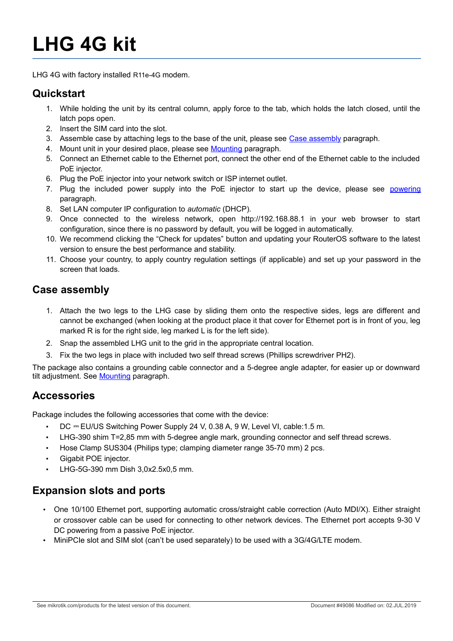# **LHG 4G kit**

LHG 4G with factory installed R11e-4G modem.

#### **Quickstart**

- 1. While holding the unit by its central column, apply force to the tab, which holds the latch closed, until the latch pops open.
- 2. Insert the SIM card into the slot.
- <span id="page-0-0"></span>3. Assemble case by attaching legs to the base of the unit, please see [Case assembly](#page-0-0) paragraph.
- 4. Mount unit in your desired place, please see [Mounting](#page-3-0) paragraph.
- 5. Connect an Ethernet cable to the Ethernet port, connect the other end of the Ethernet cable to the included PoE injector.
- 6. Plug the PoE injector into your network switch or ISP internet outlet.
- 7. Plug the included power supply into the PoE injector to start up the device, please see [powering](#page-2-0) paragraph.
- 8. Set LAN computer IP configuration to *automatic* (DHCP).
- 9. Once connected to the wireless network, open http://192.168.88.1 in your web browser to start configuration, since there is no password by default, you will be logged in automatically.
- 10. We recommend clicking the "Check for updates" button and updating your RouterOS software to the latest version to ensure the best performance and stability.
- 11. Choose your country, to apply country regulation settings (if applicable) and set up your password in the screen that loads.

#### **Case assembly**

- 1. Attach the two legs to the LHG case by sliding them onto the respective sides, legs are different and cannot be exchanged (when looking at the product place it that cover for Ethernet port is in front of you, leg marked R is for the right side, leg marked L is for the left side).
- 2. Snap the assembled LHG unit to the grid in the appropriate central location.
- 3. Fix the two legs in place with included two self thread screws (Phillips screwdriver PH2).

The package also contains a grounding cable connector and a 5-degree angle adapter, for easier up or downward tilt adjustment. See [Mounting](#page-3-0) paragraph.

#### **Accessories**

Package includes the following accessories that come with the device:

- DC = EU/US Switching Power Supply 24 V, 0.38 A, 9 W, Level VI, cable:1.5 m.
- LHG-390 shim T=2,85 mm with 5-degree angle mark, grounding connector and self thread screws.
- Hose Clamp SUS304 (Philips type; clamping diameter range 35-70 mm) 2 pcs.
- Gigabit POE injector.
- LHG-5G-390 mm Dish 3,0x2.5x0,5 mm.

# **Expansion slots and ports**

- One 10/100 Ethernet port, supporting automatic cross/straight cable correction (Auto MDI/X). Either straight or crossover cable can be used for connecting to other network devices. The Ethernet port accepts 9-30 V DC powering from a passive PoE injector.
- MiniPCIe slot and SIM slot (can't be used separately) to be used with a 3G/4G/LTE modem.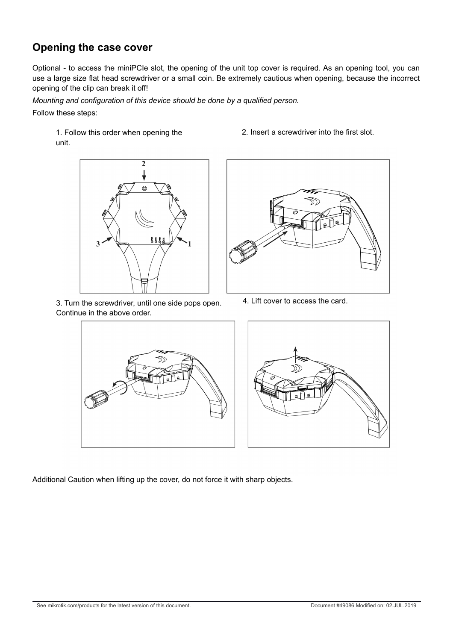#### **Opening the case cover**

Optional - to access the miniPCIe slot, the opening of the unit top cover is required. As an opening tool, you can use a large size flat head screwdriver or a small coin. Be extremely cautious when opening, because the incorrect opening of the clip can break it off!

*Mounting and configuration of this device should be done by a qualified person.* Follow these steps:

1. Follow this order when opening the unit.



3. Turn the screwdriver, until one side pops open. Continue in the above order.

2. Insert a screwdriver into the first slot.



4. Lift cover to access the card.





Additional Caution when lifting up the cover, do not force it with sharp objects.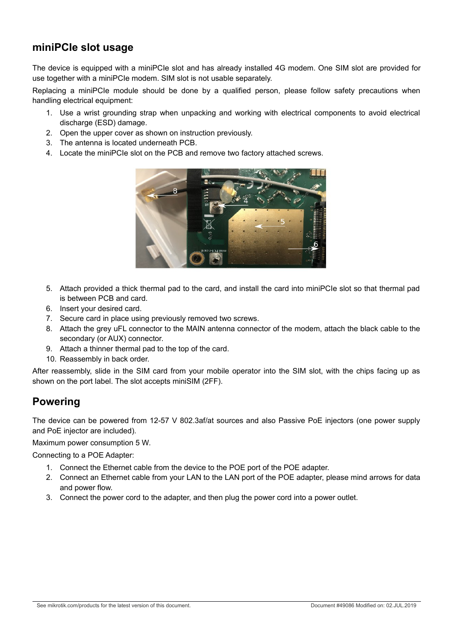#### **miniPCIe slot usage**

The device is equipped with a miniPCIe slot and has already installed 4G modem. One SIM slot are provided for use together with a miniPCIe modem. SIM slot is not usable separately.

Replacing a miniPCIe module should be done by a qualified person, please follow safety precautions when handling electrical equipment:

- 1. Use a wrist grounding strap when unpacking and working with electrical components to avoid electrical discharge (ESD) damage.
- 2. Open the upper cover as shown on instruction previously.
- 3. The antenna is located underneath PCB.
- 4. Locate the miniPCIe slot on the PCB and remove two factory attached screws.



- 5. Attach provided a thick thermal pad to the card, and install the card into miniPCIe slot so that thermal pad is between PCB and card.
- 6. Insert your desired card.
- 7. Secure card in place using previously removed two screws.
- 8. Attach the grey uFL connector to the MAIN antenna connector of the modem, attach the black cable to the secondary (or AUX) connector.
- 9. Attach a thinner thermal pad to the top of the card.
- 10. Reassembly in back order.

After reassembly, slide in the SIM card from your mobile operator into the SIM slot, with the chips facing up as shown on the port label. The slot accepts miniSIM (2FF).

#### <span id="page-2-0"></span>**Powering**

The device can be powered from 12-57 V 802.3af/at sources and also Passive PoE injectors (one power supply and PoE injector are included).

Maximum power consumption 5 W.

Connecting to a POE Adapter:

- 1. Connect the Ethernet cable from the device to the POE port of the POE adapter.
- 2. Connect an Ethernet cable from your LAN to the LAN port of the POE adapter, please mind arrows for data and power flow.
- 3. Connect the power cord to the adapter, and then plug the power cord into a power outlet.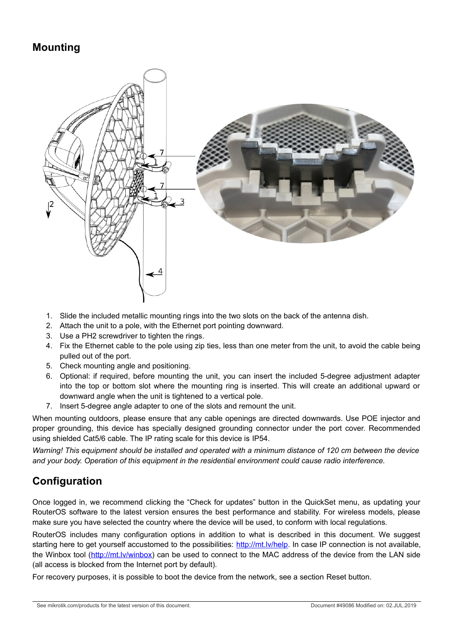#### <span id="page-3-0"></span>**Mounting**



- 1. Slide the included metallic mounting rings into the two slots on the back of the antenna dish.
- 2. Attach the unit to a pole, with the Ethernet port pointing downward.
- 3. Use a PH2 screwdriver to tighten the rings.
- 4. Fix the Ethernet cable to the pole using zip ties, less than one meter from the unit, to avoid the cable being pulled out of the port.
- 5. Check mounting angle and positioning.
- 6. Optional: if required, before mounting the unit, you can insert the included 5-degree adjustment adapter into the top or bottom slot where the mounting ring is inserted. This will create an additional upward or downward angle when the unit is tightened to a vertical pole.
- 7. Insert 5-degree angle adapter to one of the slots and remount the unit.

When mounting outdoors, please ensure that any cable openings are directed downwards. Use POE injector and proper grounding, this device has specially designed grounding connector under the port cover. Recommended using shielded Cat5/6 cable. The IP rating scale for this device is IP54.

*Warning! This equipment should be installed and operated with a minimum distance of 120 cm between the device and your body. Operation of this equipment in the residential environment could cause radio interference.*

# **Configuration**

Once logged in, we recommend clicking the "Check for updates" button in the QuickSet menu, as updating your RouterOS software to the latest version ensures the best performance and stability. For wireless models, please make sure you have selected the country where the device will be used, to conform with local regulations.

RouterOS includes many configuration options in addition to what is described in this document. We suggest starting here to get yourself accustomed to the possibilities: [http://mt.lv/help.](http://mt.lv/help) In case IP connection is not available, the Winbox tool [\(http://mt.lv/winbox\)](http://mt.lv/winbox) can be used to connect to the MAC address of the device from the LAN side (all access is blocked from the Internet port by default).

For recovery purposes, it is possible to boot the device from the network, see a section [Reset button.](#page-4-0)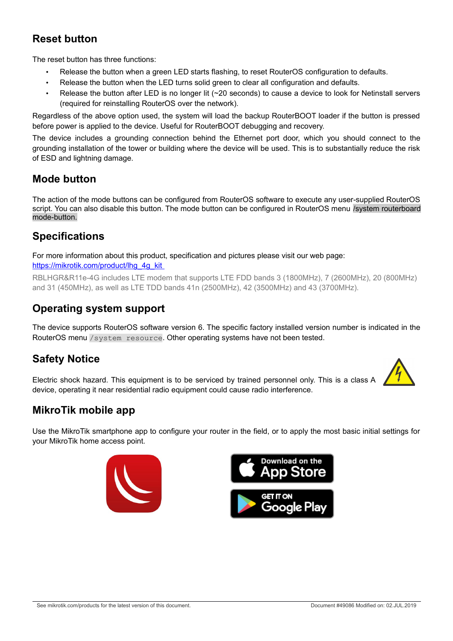# <span id="page-4-0"></span>**Reset button**

The reset button has three functions:

- Release the button when a green LED starts flashing, to reset RouterOS configuration to defaults.
- Release the button when the LED turns solid green to clear all configuration and defaults.
- Release the button after LED is no longer lit (~20 seconds) to cause a device to look for Netinstall servers (required for reinstalling RouterOS over the network).

Regardless of the above option used, the system will load the backup RouterBOOT loader if the button is pressed before power is applied to the device. Useful for RouterBOOT debugging and recovery.

The device includes a grounding connection behind the Ethernet port door, which you should connect to the grounding installation of the tower or building where the device will be used. This is to substantially reduce the risk of ESD and lightning damage.

#### **Mode button**

The action of the mode buttons can be configured from RouterOS software to execute any user-supplied RouterOS script. You can also disable this button. The mode button can be configured in RouterOS menu /system routerboard mode-button.

# **Specifications**

For more information about this product, specification and pictures please visit our web page: [https://mikrotik.com/product/lhg\\_4g\\_kit](https://mikrotik.com/product/lhg_4g_kit) 

RBLHGR&R11e-4G includes LTE modem that supports LTE FDD bands 3 (1800MHz), 7 (2600MHz), 20 (800MHz) and 31 (450MHz), as well as LTE TDD bands 41n (2500MHz), 42 (3500MHz) and 43 (3700MHz).

#### **Operating system support**

The device supports RouterOS software version 6. The specific factory installed version number is indicated in the RouterOS menu /system resource. Other operating systems have not been tested.

# **Safety Notice**

Electric shock hazard. This equipment is to be serviced by trained personnel only. This is a class A device, operating it near residential radio equipment could cause radio interference.

# **MikroTik mobile app**

Use the MikroTik smartphone app to configure your router in the field, or to apply the most basic initial settings for your MikroTik home access point.





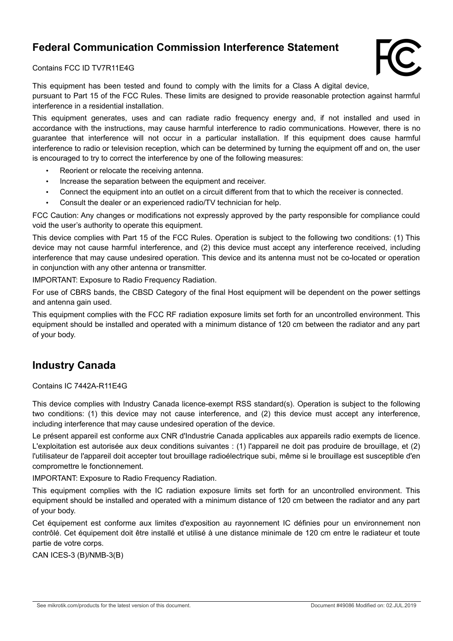# **Federal Communication Commission Interference Statement**



Contains FCC ID TV7R11E4G

This equipment has been tested and found to comply with the limits for a Class A digital device, pursuant to Part 15 of the FCC Rules. These limits are designed to provide reasonable protection against harmful interference in a residential installation.

This equipment generates, uses and can radiate radio frequency energy and, if not installed and used in accordance with the instructions, may cause harmful interference to radio communications. However, there is no guarantee that interference will not occur in a particular installation. If this equipment does cause harmful interference to radio or television reception, which can be determined by turning the equipment off and on, the user is encouraged to try to correct the interference by one of the following measures:

- Reorient or relocate the receiving antenna.
- Increase the separation between the equipment and receiver.
- Connect the equipment into an outlet on a circuit different from that to which the receiver is connected.
- Consult the dealer or an experienced radio/TV technician for help.

FCC Caution: Any changes or modifications not expressly approved by the party responsible for compliance could void the user's authority to operate this equipment.

This device complies with Part 15 of the FCC Rules. Operation is subject to the following two conditions: (1) This device may not cause harmful interference, and (2) this device must accept any interference received, including interference that may cause undesired operation. This device and its antenna must not be co-located or operation in conjunction with any other antenna or transmitter.

IMPORTANT: Exposure to Radio Frequency Radiation.

For use of CBRS bands, the CBSD Category of the final Host equipment will be dependent on the power settings and antenna gain used.

This equipment complies with the FCC RF radiation exposure limits set forth for an uncontrolled environment. This equipment should be installed and operated with a minimum distance of 120 cm between the radiator and any part of your body.

#### **Industry Canada**

Contains IC 7442A-R11E4G

This device complies with Industry Canada licence-exempt RSS standard(s). Operation is subject to the following two conditions: (1) this device may not cause interference, and (2) this device must accept any interference, including interference that may cause undesired operation of the device.

Le présent appareil est conforme aux CNR d'Industrie Canada applicables aux appareils radio exempts de licence. L'exploitation est autorisée aux deux conditions suivantes : (1) l'appareil ne doit pas produire de brouillage, et (2) l'utilisateur de l'appareil doit accepter tout brouillage radioélectrique subi, même si le brouillage est susceptible d'en compromettre le fonctionnement.

IMPORTANT: Exposure to Radio Frequency Radiation.

This equipment complies with the IC radiation exposure limits set forth for an uncontrolled environment. This equipment should be installed and operated with a minimum distance of 120 cm between the radiator and any part of your body.

Cet équipement est conforme aux limites d'exposition au rayonnement IC définies pour un environnement non contrôlé. Cet équipement doit être installé et utilisé à une distance minimale de 120 cm entre le radiateur et toute partie de votre corps.

CAN ICES-3 (B)/NMB-3(B)

See mikrotik.com/products for the latest version of this document. Document #49086 Modified on: 02.JUL.2019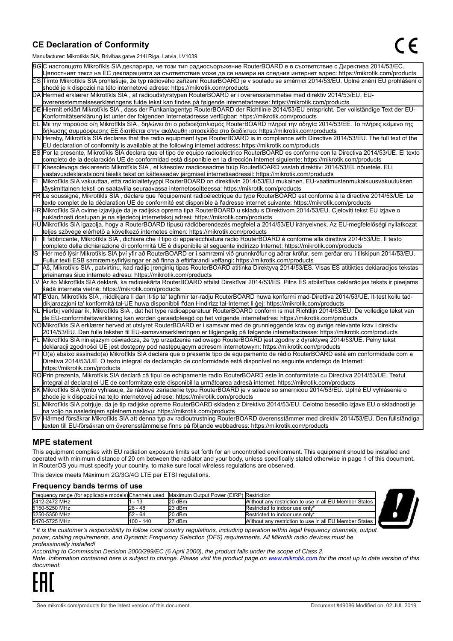#### **CE Declaration of Conformity**

Manufacturer: Mikrotikls SIA, Brivibas gatve 214i Riga, Latvia, LV1039.

|    | $m$ ananaolaici. Mintrolinto Oli I, Dirvibao galvo Z i-ri i tiga, Latvia, Lv 1000                                                                                                                                                                |
|----|--------------------------------------------------------------------------------------------------------------------------------------------------------------------------------------------------------------------------------------------------|
|    | ВСС настоящото Mikrotīkls SIA декларира, че този тип радиосъоръжение RouterBOARD е в съответствие с Директива 2014/53/ЕС.                                                                                                                        |
|    | Цялостният текст на ЕС декларацията за съответствие може да се намери на следния интернет адрес: https://mikrotik.com/products                                                                                                                   |
|    | CS Tímto Mikrotīkls SIA prohlašuje, že typ rádiového zařízení RouterBOARD je v souladu se směrnicí 2014/53/EU. Úplné znění EU prohlášení o                                                                                                       |
|    | shodě je k dispozici na této internetové adrese: https://mikrotik.com/products                                                                                                                                                                   |
|    | DA Hermed erklærer Mikrotīkls SIA, at radioudstyrstypen RouterBOARD er i overensstemmelse med direktiv 2014/53/EU. EU-                                                                                                                           |
|    | overensstemmelseserklæringens fulde tekst kan findes på følgende internetadresse: https://mikrotik.com/products                                                                                                                                  |
|    | DE Hiermit erklärt Mikrotīkls SIA, dass der Funkanlagentyp RouterBOARD der Richtlinie 2014/53/EU entspricht. Der vollständige Text der EU-                                                                                                       |
|    | Konformitätserklärung ist unter der folgenden Internetadresse verfügbar: https://mikrotik.com/products                                                                                                                                           |
|    | ΕL Με την παρούσα ο/η Mikrotīkls SIA , δηλώνει ότι ο ραδιοεξοπλισμός RouterBOARD πληροί την οδηγία 2014/53/ΕΕ. Το πλήρες κείμενο της<br> δήλωσης συμμόρφωσης ΕΕ διατίθεται στην ακόλουθη ιστοσελίδα στο διαδίκτυο: https://mikrotik.com/products |
|    | EN Hereby, Mikrotīkls SIA declares that the radio equipment type RouterBOARD is in compliance with Directive 2014/53/EU. The full text of the                                                                                                    |
|    | EU declaration of conformity is available at the following internet address: https://mikrotik.com/products                                                                                                                                       |
|    | ES Por la presente, Mikrotīkls SIA declara que el tipo de equipo radioeléctrico RouterBOARD es conforme con la Directiva 2014/53/UE. El texto                                                                                                    |
|    | completo de la declaración UE de conformidad está disponible en la dirección Internet siguiente: https://mikrotik.com/products                                                                                                                   |
|    | ET Käesolevaga deklareerib Mikrotīkls SIA, et käesolev raadioseadme tüüp RouterBOARD vastab direktiivi 2014/53/EL nõuetele. ELi                                                                                                                  |
|    | vastavusdeklaratsiooni täielik tekst on kättesaadav järgmisel internetiaadressil: https://mikrotik.com/products                                                                                                                                  |
|    | Mikrotīkls SIA vakuuttaa, että radiolaitetyyppi RouterBOARD on direktiivin 2014/53/EU mukainen. EU-vaatimustenmukaisuusvakuutuksen                                                                                                               |
|    | täysimittainen teksti on saatavilla seuraavassa internetosoitteessa: https://mikrotik.com/products                                                                                                                                               |
|    | FR Le soussigné, Mikrotīkls SIA, déclare que l'équipement radioélectrique du type RouterBOARD est conforme à la directive 2014/53/UE. Le                                                                                                         |
|    | texte complet de la déclaration UE de conformité est disponible à l'adresse internet suivante: https://mikrotik.com/products                                                                                                                     |
|    | HR Mikrotīkls SIA ovime izjavljuje da je radijska oprema tipa RouterBOARD u skladu s Direktivom 2014/53/EU. Cjeloviti tekst EU izjave o                                                                                                          |
|    | sukladnosti dostupan je na sljedećoj internetskoj adresi: https://mikrotik.com/products                                                                                                                                                          |
|    | HU Mikrotīkls SIA igazolja, hogy a RouterBOARD típusú rádióberendezés megfelel a 2014/53/EU irányelvnek. Az EU-megfelelőségi nyilatkozat                                                                                                         |
|    | teljes szövege elérhető a következő internetes címen: https://mikrotik.com/products                                                                                                                                                              |
| lΤ | Il fabbricante, Mikrotīkls SIA, dichiara che il tipo di apparecchiatura radio RouterBOARD è conforme alla direttiva 2014/53/UE. Il testo                                                                                                         |
|    | completo della dichiarazione di conformità UE è disponibile al seguente indirizzo Internet: https://mikrotik.com/products                                                                                                                        |
| IS | Hér með lýsir Mikrotīkls SIA því yfir að RouterBOARD er í samræmi við grunnkröfur og aðrar kröfur, sem gerðar eru í tilskipun 2014/53/EU.                                                                                                        |
|    | Fullur texti ESB samræmisyfirlýsingar er að finna á eftirfarandi veffangi: https://mikrotik.com/products                                                                                                                                         |
| LТ | Aš, Mikrotīkls SIA, patvirtinu, kad radijo įrenginių tipas RouterBOARD atitinka Direktyvą 2014/53/ES. Visas ES atitikties deklaracijos tekstas                                                                                                   |
|    | prieinamas šiuo interneto adresu: https://mikrotik.com/products                                                                                                                                                                                  |
|    | Ar šo Mikrotīkls SIA deklarē, ka radioiekārta RouterBOARD atbilst Direktīvai 2014/53/ES. Pilns ES atbilstības deklarācijas teksts ir pieejams                                                                                                    |
|    | šādā interneta vietnē: https://mikrotik.com/products                                                                                                                                                                                             |
|    | MT B'dan, Mikrotīkls SIA, niddikjara li dan it-tip ta' tagħmir tar-radju RouterBOARD huwa konformi mad-Direttiva 2014/53/UE. It-test kollu tad-                                                                                                  |
|    | dikjarazzjoni ta' konformità tal-UE huwa disponibbli f'dan l-indirizz tal-Internet li ġej: https://mikrotik.com/products                                                                                                                         |
|    | NL Hierbij verklaar ik, Mikrotīkls SIA , dat het type radioapparatuur RouterBOARD conform is met Richtlijn 2014/53/EU. De volledige tekst van                                                                                                    |
|    | de EU-conformiteitsverklaring kan worden geraadpleegd op het volgende internetadres: https://mikrotik.com/products                                                                                                                               |
|    | NOMikrotīkls SIA erklærer herved at utstyret RouterBOARD er i samsvar med de grunnleggende krav og øvrige relevante krav i direktiv                                                                                                              |
|    | 2014/53/EU. Den fulle teksten til EU-samsvarserklæringen er tilgjengelig på følgende internettadresse: https://mikrotik.com/products                                                                                                             |
|    | PL Mikrotīkls SIA niniejszym oświadcza, że typ urządzenia radiowego RouterBOARD jest zgodny z dyrektywą 2014/53/UE. Pełny tekst                                                                                                                  |
|    | deklaracji zgodności UE jest dostępny pod następującym adresem internetowym: https://mikrotik.com/products                                                                                                                                       |
|    | PT O(a) abaixo assinado(a) Mikrotīkls SIA declara que o presente tipo de equipamento de rádio RouterBOARD está em conformidade com a                                                                                                             |
|    | Diretiva 2014/53/UE. O texto integral da declaração de conformidade está disponível no seguinte endereço de Internet:                                                                                                                            |
|    | https://mikrotik.com/products                                                                                                                                                                                                                    |
|    | ROPrin prezenta, Mikrotīkls SIA declară că tipul de echipamente radio RouterBOARD este în conformitate cu Directiva 2014/53/UE. Textul                                                                                                           |
|    | integral al declaratiei UE de conformitate este disponibil la următoarea adresă internet: https://mikrotik.com/products                                                                                                                          |
|    | SK Mikrotīkls SIA týmto vyhlasuje, že rádiové zariadenie typu RouterBOARD je v súlade so smernicou 2014/53/EÚ. Úplné EÚ vyhlásenie o                                                                                                             |
|    | zhode je k dispozícii na tejto internetovej adrese: https://mikrotik.com/products                                                                                                                                                                |
|    | SL Mikrotīkls SIA potrjuje, da je tip radijske opreme RouterBOARD skladen z Direktivo 2014/53/EU. Celotno besedilo izjave EU o skladnosti je                                                                                                     |
|    | na voljo na naslednjem spletnem naslovu: https://mikrotik.com/products                                                                                                                                                                           |
|    | SV Härmed försäkrar Mikrotīkls SIA att denna typ av radioutrustning RouterBOARD överensstämmer med direktiv 2014/53/EU. Den fullständiga                                                                                                         |
|    | texten till EU-försäkran om överensstämmelse finns på följande webbadress: https://mikrotik.com/products                                                                                                                                         |

#### **MPE statement**

This equipment complies with EU radiation exposure limits set forth for an uncontrolled environment. This equipment should be installed and operated with minimum distance of 20 cm between the radiator and your body, unless specifically stated otherwise in page 1 of this document. In RouterOS you must specify your country, to make sure local wireless regulations are observed.

This device meets Maximum 2G/3G/4G LTE per ETSI regulations.

#### **Frequency bands terms of use**

| Frequency range (for applicable models) Channels used |           | Maximum Output Power (EIRP) Restriction |                                                        |  |
|-------------------------------------------------------|-----------|-----------------------------------------|--------------------------------------------------------|--|
| 2412-2472 MHz                                         | - 13      | 20 dBm                                  | Without any restriction to use in all EU Member States |  |
| 5150-5250 MHz                                         | 26 - 48   | 23 dBm                                  | Restricted to indoor use only*                         |  |
| 5250-5350 MHz                                         | 52 - 64   | 20 dBm                                  | Restricted to indoor use only*                         |  |
| 5470-5725 MHz                                         | 100 - 140 | 27 dBm                                  | Without any restriction to use in all EU Member States |  |



*\* It is the customer's responsibility to follow local country regulations, including operation within legal frequency channels, output power, cabling requirements, and Dynamic Frequency Selection (DFS) requirements. All Mikrotik radio devices must be professionally installed!*

*According to Commission Decision 2000/299/EC (6 April 2000), the product falls under the scope of Class 2.*

*Note. Information contained here is subject to change. Please visit the product page on [www.mikrotik.com](http://www.mikrotik.com/) for the most up to date version of this document.*